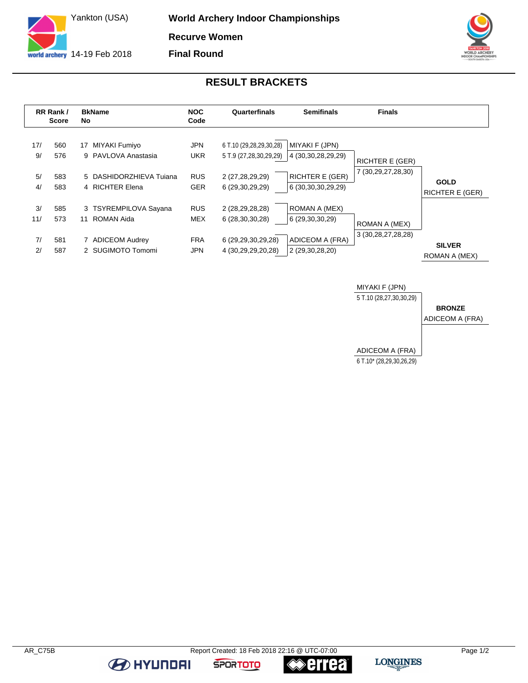

**World Archery Indoor Championships Recurve Women Final Round**



## **RESULT BRACKETS**

|                       | RR Rank /<br>Score       | <b>BkName</b><br>No                                                                      | <b>NOC</b><br>Code                                   | Quarterfinals                                                                           | <b>Semifinals</b>                                                                        | <b>Finals</b>                                |                                       |
|-----------------------|--------------------------|------------------------------------------------------------------------------------------|------------------------------------------------------|-----------------------------------------------------------------------------------------|------------------------------------------------------------------------------------------|----------------------------------------------|---------------------------------------|
| 17/<br>9/<br>5/<br>4/ | 560<br>576<br>583<br>583 | MIYAKI Fumiyo<br>17<br>9 PAVLOVA Anastasia<br>5 DASHIDORZHIEVA Tujana<br>4 RICHTER Elena | <b>JPN</b><br><b>UKR</b><br><b>RUS</b><br><b>GER</b> | 6 T.10 (29,28,29,30,28)<br>5 T.9 (27,28,30,29,29)<br>2 (27,28,29,29)<br>6 (29,30,29,29) | MIYAKI F (JPN)<br>4 (30, 30, 28, 29, 29)<br><b>RICHTER E (GER)</b><br>6 (30,30,30,29,29) | <b>RICHTER E (GER)</b><br>7 (30,29,27,28,30) | <b>GOLD</b><br><b>RICHTER E (GER)</b> |
| 3/<br>11/<br>7/<br>2/ | 585<br>573<br>581<br>587 | 3 TSYREMPILOVA Sayana<br>ROMAN Aida<br>11<br>7 ADICEOM Audrey<br>2 SUGIMOTO Tomomi       | <b>RUS</b><br><b>MEX</b><br><b>FRA</b><br><b>JPN</b> | 2 (28,29,28,28)<br>6 (28,30,30,28)<br>6 (29,29,30,29,28)<br>4 (30,29,29,20,28)          | ROMAN A (MEX)<br>6 (29,30,30,29)<br>ADICEOM A (FRA)<br>2 (29,30,28,20)                   | ROMAN A (MEX)<br>3 (30, 28, 27, 28, 28)      | <b>SILVER</b><br>ROMAN A (MEX)        |



**BE HYUNDAI** 

**≪errea** 

**SPORTOTO**